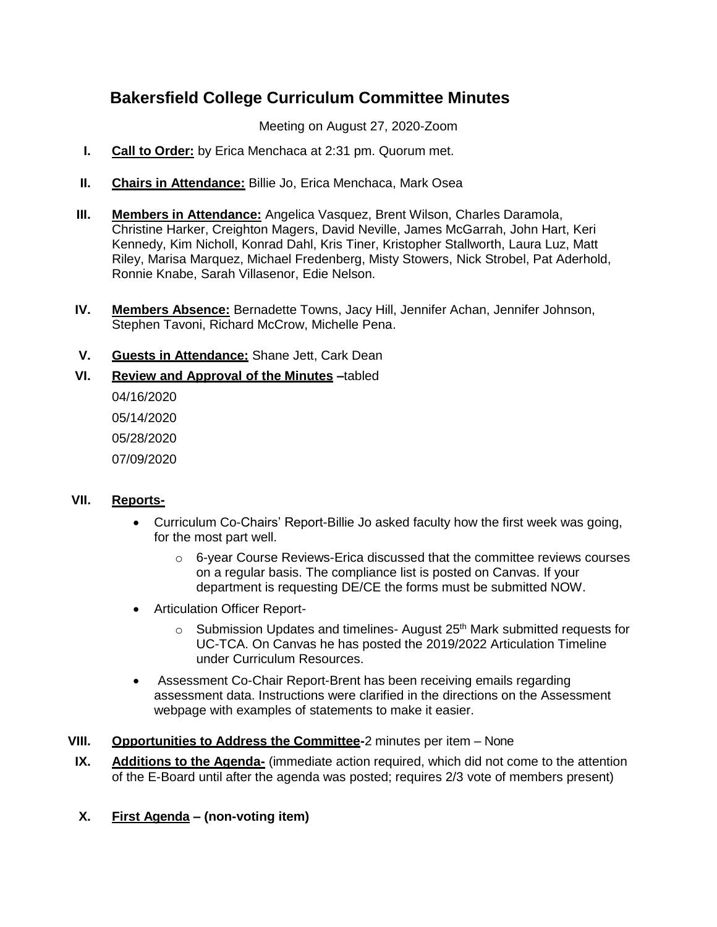# **Bakersfield College Curriculum Committee Minutes**

Meeting on August 27, 2020-Zoom

- **I. Call to Order:** by Erica Menchaca at 2:31 pm. Quorum met.
- **II. Chairs in Attendance:** Billie Jo, Erica Menchaca, Mark Osea
- **III. Members in Attendance:** Angelica Vasquez, Brent Wilson, Charles Daramola, Christine Harker, Creighton Magers, David Neville, James McGarrah, John Hart, Keri Kennedy, Kim Nicholl, Konrad Dahl, Kris Tiner, Kristopher Stallworth, Laura Luz, Matt Riley, Marisa Marquez, Michael Fredenberg, Misty Stowers, Nick Strobel, Pat Aderhold, Ronnie Knabe, Sarah Villasenor, Edie Nelson.
- **IV. Members Absence:** Bernadette Towns, Jacy Hill, Jennifer Achan, Jennifer Johnson, Stephen Tavoni, Richard McCrow, Michelle Pena.

## **V. Guests in Attendance:** Shane Jett, Cark Dean

**VI. Review and Approval of the Minutes –**tabled

04/16/2020 05/14/2020 05/28/2020 07/09/2020

## **VII. Reports-**

- Curriculum Co-Chairs' Report-Billie Jo asked faculty how the first week was going, for the most part well.
	- $\circ$  6-year Course Reviews-Erica discussed that the committee reviews courses on a regular basis. The compliance list is posted on Canvas. If your department is requesting DE/CE the forms must be submitted NOW.
- Articulation Officer Report-
	- $\circ$  Submission Updates and timelines-August 25<sup>th</sup> Mark submitted requests for UC-TCA. On Canvas he has posted the 2019/2022 Articulation Timeline under Curriculum Resources.
- Assessment Co-Chair Report-Brent has been receiving emails regarding assessment data. Instructions were clarified in the directions on the Assessment webpage with examples of statements to make it easier.
- **VIII. Opportunities to Address the Committee-**2 minutes per item None
- **IX. Additions to the Agenda-** (immediate action required, which did not come to the attention of the E-Board until after the agenda was posted; requires 2/3 vote of members present)
- **X. First Agenda – (non-voting item)**